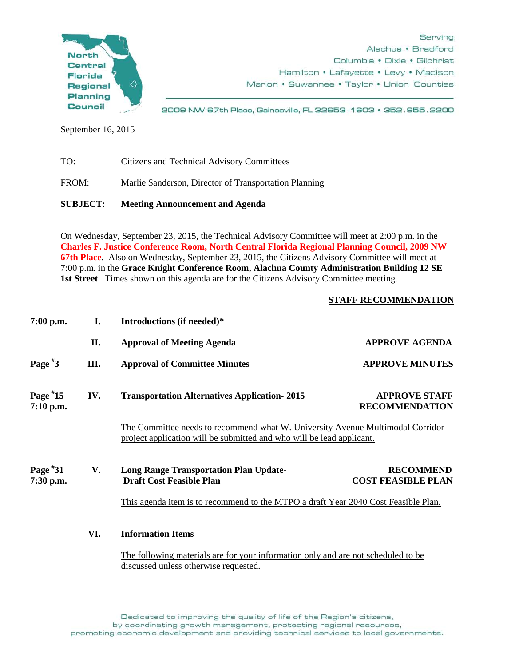

2009 NW 67th Place, Gainesville, FL 32653-1603 · 352.955.2200

September 16, 2015

TO: Citizens and Technical Advisory Committees FROM: Marlie Sanderson, Director of Transportation Planning **SUBJECT: Meeting Announcement and Agenda**

On Wednesday, September 23, 2015, the Technical Advisory Committee will meet at 2:00 p.m. in the **Charles F. Justice Conference Room, North Central Florida Regional Planning Council, 2009 NW 67th Place.** Also on Wednesday, September 23, 2015, the Citizens Advisory Committee will meet at 7:00 p.m. in the **Grace Knight Conference Room, Alachua County Administration Building 12 SE 1st Street**. Times shown on this agenda are for the Citizens Advisory Committee meeting.

## **STAFF RECOMMENDATION**

| $7:00$ p.m.             | I.                                                                                 | Introductions (if needed)*                                                                                                                              |                                               |
|-------------------------|------------------------------------------------------------------------------------|---------------------------------------------------------------------------------------------------------------------------------------------------------|-----------------------------------------------|
|                         | II.                                                                                | <b>Approval of Meeting Agenda</b>                                                                                                                       | <b>APPROVE AGENDA</b>                         |
| Page $*3$               | Ш.                                                                                 | <b>Approval of Committee Minutes</b>                                                                                                                    | <b>APPROVE MINUTES</b>                        |
| Page $*15$<br>7:10 p.m. | IV.                                                                                | <b>Transportation Alternatives Application-2015</b>                                                                                                     | <b>APPROVE STAFF</b><br><b>RECOMMENDATION</b> |
|                         |                                                                                    | The Committee needs to recommend what W. University Avenue Multimodal Corridor<br>project application will be submitted and who will be lead applicant. |                                               |
| Page $*31$<br>7:30 p.m. | V.                                                                                 | <b>Long Range Transportation Plan Update-</b><br><b>Draft Cost Feasible Plan</b>                                                                        | <b>RECOMMEND</b><br><b>COST FEASIBLE PLAN</b> |
|                         | This agenda item is to recommend to the MTPO a draft Year 2040 Cost Feasible Plan. |                                                                                                                                                         |                                               |
|                         | VI.                                                                                | <b>Information Items</b><br>The following materials are for your information only and are not scheduled to be<br>discussed unless otherwise requested.  |                                               |
|                         |                                                                                    |                                                                                                                                                         |                                               |